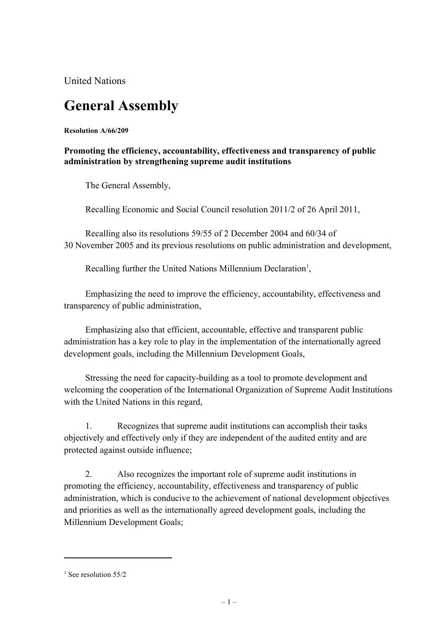United Nations

## **General Assembly**

**Resolution A/66/209**

## **Promoting the efficiency, accountability, effectiveness and transparency of public administration by strengthening supreme audit institutions**

The General Assembly,

Recalling Economic and Social Council resolution 2011/2 of 26 April 2011,

Recalling also its resolutions 59/55 of 2 December 2004 and 60/34 of 30 November 2005 and its previous resolutions on public administration and development,

Recalling further the United Nations Millennium Declaration<sup>1</sup>,

Emphasizing the need to improve the efficiency, accountability, effectiveness and transparency of public administration,

Emphasizing also that efficient, accountable, effective and transparent public administration has a key role to play in the implementation of the internationally agreed development goals, including the Millennium Development Goals,

Stressing the need for capacity-building as a tool to promote development and welcoming the cooperation of the International Organization of Supreme Audit Institutions with the United Nations in this regard,

1. Recognizes that supreme audit institutions can accomplish their tasks objectively and effectively only if they are independent of the audited entity and are protected against outside influence;

2. Also recognizes the important role of supreme audit institutions in promoting the efficiency, accountability, effectiveness and transparency of public administration, which is conducive to the achievement of national development objectives and priorities as well as the internationally agreed development goals, including the Millennium Development Goals;

 $\overline{a}$ 

 $<sup>1</sup>$  See resolution 55/2</sup>